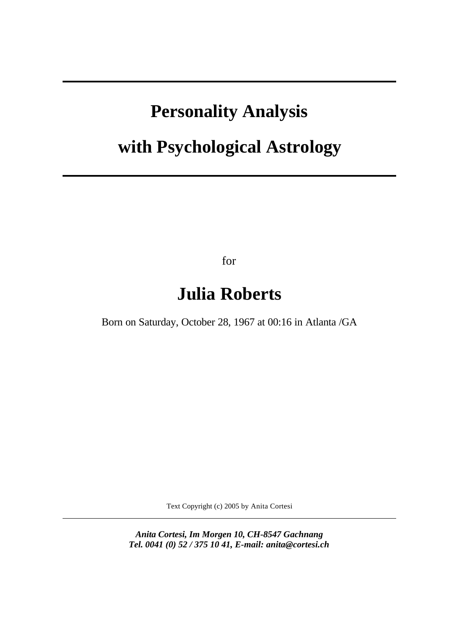# **Personality Analysis**

# **with Psychological Astrology**

for

# **Julia Roberts**

Born on Saturday, October 28, 1967 at 00:16 in Atlanta /GA

Text Copyright (c) 2005 by Anita Cortesi

*Anita Cortesi, Im Morgen 10, CH-8547 Gachnang Tel. 0041 (0) 52 / 375 10 41, E-mail: anita@cortesi.ch*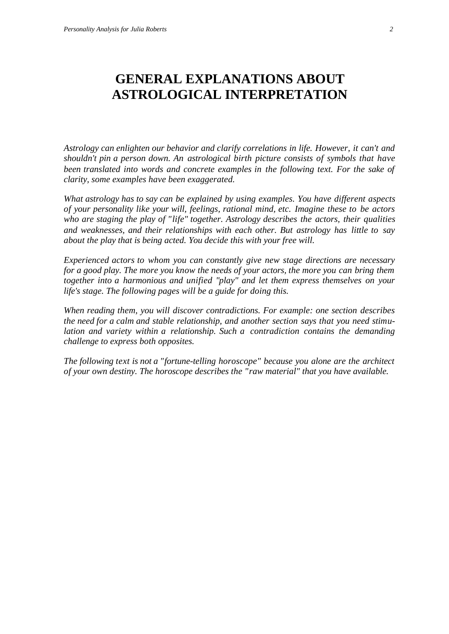# **GENERAL EXPLANATIONS ABOUT ASTROLOGICAL INTERPRETATION**

*Astrology can enlighten our behavior and clarify correlations in life. However, it can't and shouldn't pin a person down. An astrological birth picture consists of symbols that have been translated into words and concrete examples in the following text. For the sake of clarity, some examples have been exaggerated.*

*What astrology has to say can be explained by using examples. You have different aspects of your personality like your will, feelings, rational mind, etc. Imagine these to be actors who are staging the play of "life" together. Astrology describes the actors, their qualities and weaknesses, and their relationships with each other. But astrology has little to say about the play that is being acted. You decide this with your free will.*

*Experienced actors to whom you can constantly give new stage directions are necessary for a good play. The more you know the needs of your actors, the more you can bring them together into a harmonious and unified "play" and let them express themselves on your life's stage. The following pages will be a guide for doing this.*

*When reading them, you will discover contradictions. For example: one section describes the need for a calm and stable relationship, and another section says that you need stimulation and variety within a relationship. Such a contradiction contains the demanding challenge to express both opposites.*

*The following text is not a "fortune-telling horoscope" because you alone are the architect of your own destiny. The horoscope describes the "raw material" that you have available.*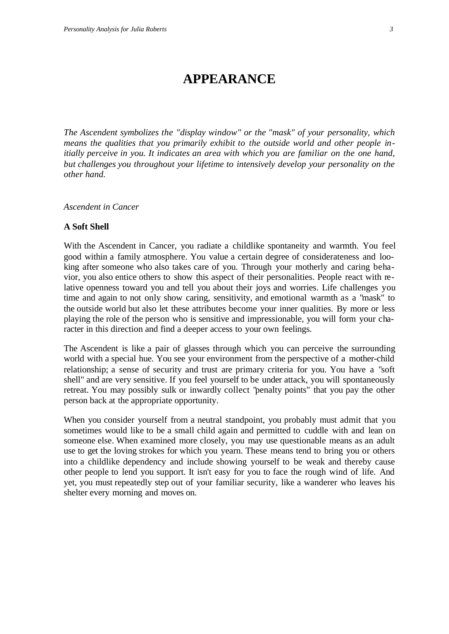## **APPEARANCE**

*The Ascendent symbolizes the "display window" or the "mask" of your personality, which means the qualities that you primarily exhibit to the outside world and other people initially perceive in you. It indicates an area with which you are familiar on the one hand, but challenges you throughout your lifetime to intensively develop your personality on the other hand.*

*Ascendent in Cancer*

#### **A Soft Shell**

With the Ascendent in Cancer, you radiate a childlike spontaneity and warmth. You feel good within a family atmosphere. You value a certain degree of considerateness and looking after someone who also takes care of you. Through your motherly and caring behavior, you also entice others to show this aspect of their personalities. People react with relative openness toward you and tell you about their joys and worries. Life challenges you time and again to not only show caring, sensitivity, and emotional warmth as a "mask" to the outside world but also let these attributes become your inner qualities. By more or less playing the role of the person who is sensitive and impressionable, you will form your character in this direction and find a deeper access to your own feelings.

The Ascendent is like a pair of glasses through which you can perceive the surrounding world with a special hue. You see your environment from the perspective of a mother-child relationship; a sense of security and trust are primary criteria for you. You have a "soft shell" and are very sensitive. If you feel yourself to be under attack, you will spontaneously retreat. You may possibly sulk or inwardly collect "penalty points" that you pay the other person back at the appropriate opportunity.

When you consider yourself from a neutral standpoint, you probably must admit that you sometimes would like to be a small child again and permitted to cuddle with and lean on someone else. When examined more closely, you may use questionable means as an adult use to get the loving strokes for which you yearn. These means tend to bring you or others into a childlike dependency and include showing yourself to be weak and thereby cause other people to lend you support. It isn't easy for you to face the rough wind of life. And yet, you must repeatedly step out of your familiar security, like a wanderer who leaves his shelter every morning and moves on.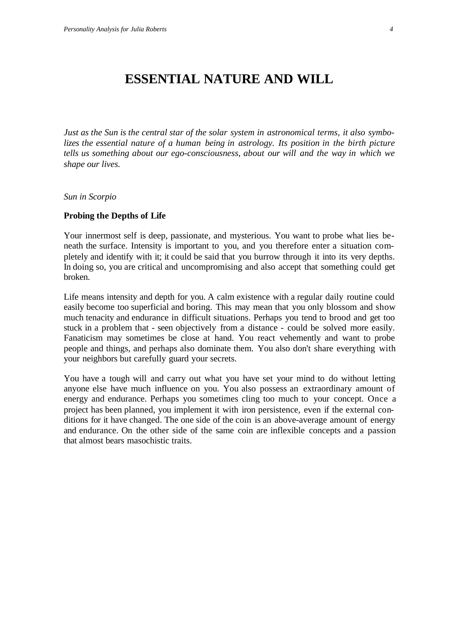## **ESSENTIAL NATURE AND WILL**

*Just as the Sun is the central star of the solar system in astronomical terms, it also symbolizes the essential nature of a human being in astrology. Its position in the birth picture tells us something about our ego-consciousness, about our will and the way in which we shape our lives.*

*Sun in Scorpio*

#### **Probing the Depths of Life**

Your innermost self is deep, passionate, and mysterious. You want to probe what lies beneath the surface. Intensity is important to you, and you therefore enter a situation completely and identify with it; it could be said that you burrow through it into its very depths. In doing so, you are critical and uncompromising and also accept that something could get broken.

Life means intensity and depth for you. A calm existence with a regular daily routine could easily become too superficial and boring. This may mean that you only blossom and show much tenacity and endurance in difficult situations. Perhaps you tend to brood and get too stuck in a problem that - seen objectively from a distance - could be solved more easily. Fanaticism may sometimes be close at hand. You react vehemently and want to probe people and things, and perhaps also dominate them. You also don't share everything with your neighbors but carefully guard your secrets.

You have a tough will and carry out what you have set your mind to do without letting anyone else have much influence on you. You also possess an extraordinary amount of energy and endurance. Perhaps you sometimes cling too much to your concept. Once a project has been planned, you implement it with iron persistence, even if the external conditions for it have changed. The one side of the coin is an above-average amount of energy and endurance. On the other side of the same coin are inflexible concepts and a passion that almost bears masochistic traits.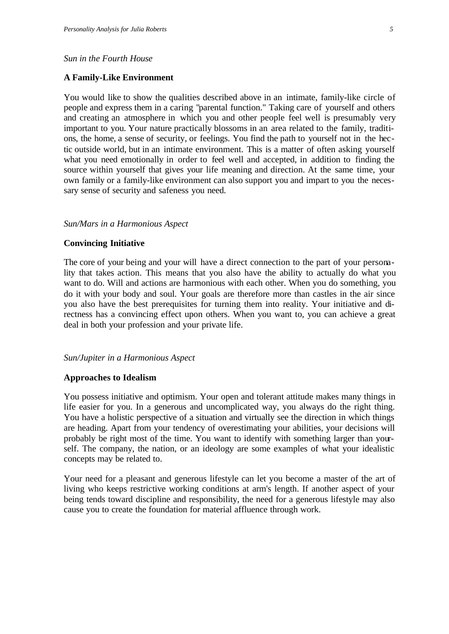#### *Sun in the Fourth House*

#### **A Family-Like Environment**

You would like to show the qualities described above in an intimate, family-like circle of people and express them in a caring "parental function." Taking care of yourself and others and creating an atmosphere in which you and other people feel well is presumably very important to you. Your nature practically blossoms in an area related to the family, traditions, the home, a sense of security, or feelings. You find the path to yourself not in the hectic outside world, but in an intimate environment. This is a matter of often asking yourself what you need emotionally in order to feel well and accepted, in addition to finding the source within yourself that gives your life meaning and direction. At the same time, your own family or a family-like environment can also support you and impart to you the necessary sense of security and safeness you need.

#### *Sun/Mars in a Harmonious Aspect*

#### **Convincing Initiative**

The core of your being and your will have a direct connection to the part of your personality that takes action. This means that you also have the ability to actually do what you want to do. Will and actions are harmonious with each other. When you do something, you do it with your body and soul. Your goals are therefore more than castles in the air since you also have the best prerequisites for turning them into reality. Your initiative and directness has a convincing effect upon others. When you want to, you can achieve a great deal in both your profession and your private life.

#### *Sun/Jupiter in a Harmonious Aspect*

#### **Approaches to Idealism**

You possess initiative and optimism. Your open and tolerant attitude makes many things in life easier for you. In a generous and uncomplicated way, you always do the right thing. You have a holistic perspective of a situation and virtually see the direction in which things are heading. Apart from your tendency of overestimating your abilities, your decisions will probably be right most of the time. You want to identify with something larger than yourself. The company, the nation, or an ideology are some examples of what your idealistic concepts may be related to.

Your need for a pleasant and generous lifestyle can let you become a master of the art of living who keeps restrictive working conditions at arm's length. If another aspect of your being tends toward discipline and responsibility, the need for a generous lifestyle may also cause you to create the foundation for material affluence through work.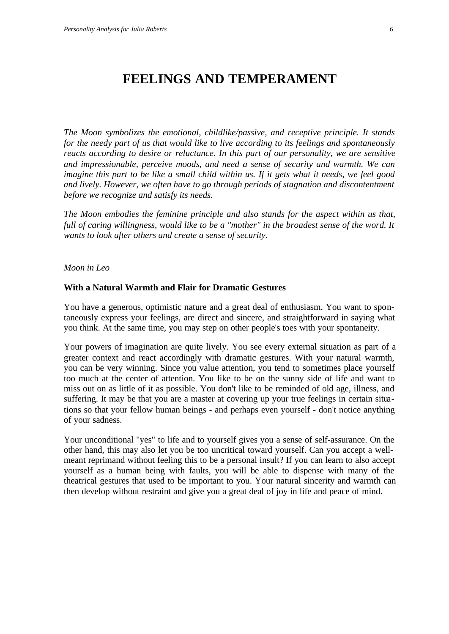## **FEELINGS AND TEMPERAMENT**

*The Moon symbolizes the emotional, childlike/passive, and receptive principle. It stands for the needy part of us that would like to live according to its feelings and spontaneously reacts according to desire or reluctance. In this part of our personality, we are sensitive and impressionable, perceive moods, and need a sense of security and warmth. We can imagine this part to be like a small child within us. If it gets what it needs, we feel good and lively. However, we often have to go through periods of stagnation and discontentment before we recognize and satisfy its needs.*

*The Moon embodies the feminine principle and also stands for the aspect within us that, full of caring willingness, would like to be a "mother" in the broadest sense of the word. It wants to look after others and create a sense of security.*

#### *Moon in Leo*

#### **With a Natural Warmth and Flair for Dramatic Gestures**

You have a generous, optimistic nature and a great deal of enthusiasm. You want to spontaneously express your feelings, are direct and sincere, and straightforward in saying what you think. At the same time, you may step on other people's toes with your spontaneity.

Your powers of imagination are quite lively. You see every external situation as part of a greater context and react accordingly with dramatic gestures. With your natural warmth, you can be very winning. Since you value attention, you tend to sometimes place yourself too much at the center of attention. You like to be on the sunny side of life and want to miss out on as little of it as possible. You don't like to be reminded of old age, illness, and suffering. It may be that you are a master at covering up your true feelings in certain situations so that your fellow human beings - and perhaps even yourself - don't notice anything of your sadness.

Your unconditional "yes" to life and to yourself gives you a sense of self-assurance. On the other hand, this may also let you be too uncritical toward yourself. Can you accept a wellmeant reprimand without feeling this to be a personal insult? If you can learn to also accept yourself as a human being with faults, you will be able to dispense with many of the theatrical gestures that used to be important to you. Your natural sincerity and warmth can then develop without restraint and give you a great deal of joy in life and peace of mind.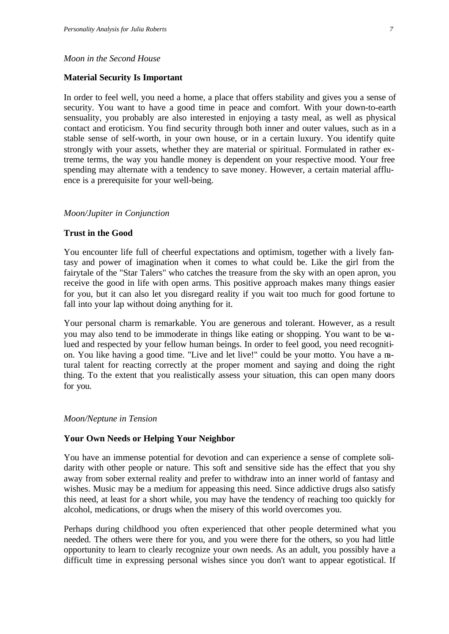#### *Moon in the Second House*

#### **Material Security Is Important**

In order to feel well, you need a home, a place that offers stability and gives you a sense of security. You want to have a good time in peace and comfort. With your down-to-earth sensuality, you probably are also interested in enjoying a tasty meal, as well as physical contact and eroticism. You find security through both inner and outer values, such as in a stable sense of self-worth, in your own house, or in a certain luxury. You identify quite strongly with your assets, whether they are material or spiritual. Formulated in rather extreme terms, the way you handle money is dependent on your respective mood. Your free spending may alternate with a tendency to save money. However, a certain material affluence is a prerequisite for your well-being.

#### *Moon/Jupiter in Conjunction*

#### **Trust in the Good**

You encounter life full of cheerful expectations and optimism, together with a lively fantasy and power of imagination when it comes to what could be. Like the girl from the fairytale of the "Star Talers" who catches the treasure from the sky with an open apron, you receive the good in life with open arms. This positive approach makes many things easier for you, but it can also let you disregard reality if you wait too much for good fortune to fall into your lap without doing anything for it.

Your personal charm is remarkable. You are generous and tolerant. However, as a result you may also tend to be immoderate in things like eating or shopping. You want to be valued and respected by your fellow human beings. In order to feel good, you need recognition. You like having a good time. "Live and let live!" could be your motto. You have a natural talent for reacting correctly at the proper moment and saying and doing the right thing. To the extent that you realistically assess your situation, this can open many doors for you.

#### *Moon/Neptune in Tension*

#### **Your Own Needs or Helping Your Neighbor**

You have an immense potential for devotion and can experience a sense of complete solidarity with other people or nature. This soft and sensitive side has the effect that you shy away from sober external reality and prefer to withdraw into an inner world of fantasy and wishes. Music may be a medium for appeasing this need. Since addictive drugs also satisfy this need, at least for a short while, you may have the tendency of reaching too quickly for alcohol, medications, or drugs when the misery of this world overcomes you.

Perhaps during childhood you often experienced that other people determined what you needed. The others were there for you, and you were there for the others, so you had little opportunity to learn to clearly recognize your own needs. As an adult, you possibly have a difficult time in expressing personal wishes since you don't want to appear egotistical. If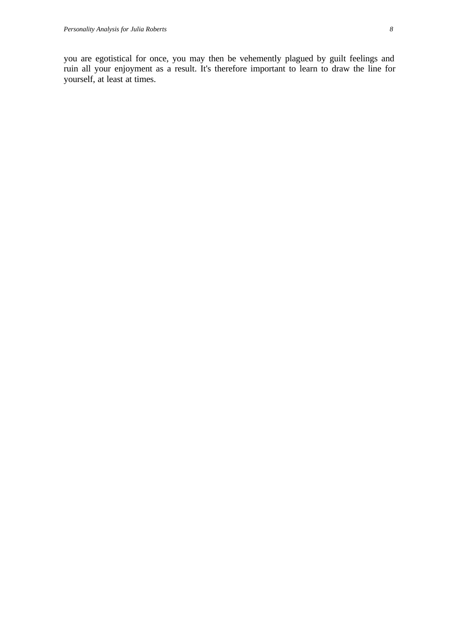you are egotistical for once, you may then be vehemently plagued by guilt feelings and ruin all your enjoyment as a result. It's therefore important to learn to draw the line for yourself, at least at times.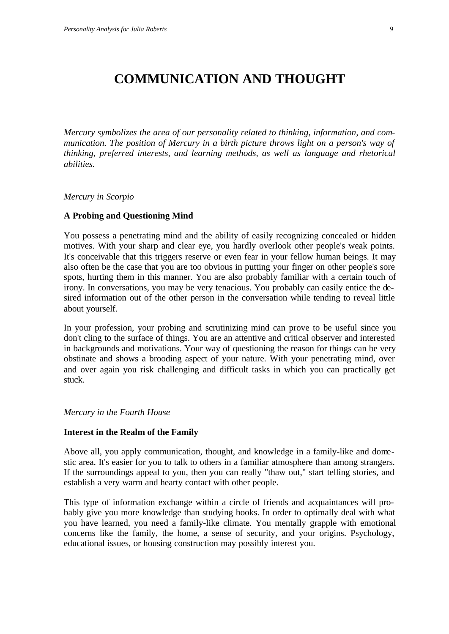## **COMMUNICATION AND THOUGHT**

*Mercury symbolizes the area of our personality related to thinking, information, and communication. The position of Mercury in a birth picture throws light on a person's way of thinking, preferred interests, and learning methods, as well as language and rhetorical abilities.*

*Mercury in Scorpio*

#### **A Probing and Questioning Mind**

You possess a penetrating mind and the ability of easily recognizing concealed or hidden motives. With your sharp and clear eye, you hardly overlook other people's weak points. It's conceivable that this triggers reserve or even fear in your fellow human beings. It may also often be the case that you are too obvious in putting your finger on other people's sore spots, hurting them in this manner. You are also probably familiar with a certain touch of irony. In conversations, you may be very tenacious. You probably can easily entice the desired information out of the other person in the conversation while tending to reveal little about yourself.

In your profession, your probing and scrutinizing mind can prove to be useful since you don't cling to the surface of things. You are an attentive and critical observer and interested in backgrounds and motivations. Your way of questioning the reason for things can be very obstinate and shows a brooding aspect of your nature. With your penetrating mind, over and over again you risk challenging and difficult tasks in which you can practically get stuck.

#### *Mercury in the Fourth House*

#### **Interest in the Realm of the Family**

Above all, you apply communication, thought, and knowledge in a family-like and domestic area. It's easier for you to talk to others in a familiar atmosphere than among strangers. If the surroundings appeal to you, then you can really "thaw out," start telling stories, and establish a very warm and hearty contact with other people.

This type of information exchange within a circle of friends and acquaintances will probably give you more knowledge than studying books. In order to optimally deal with what you have learned, you need a family-like climate. You mentally grapple with emotional concerns like the family, the home, a sense of security, and your origins. Psychology, educational issues, or housing construction may possibly interest you.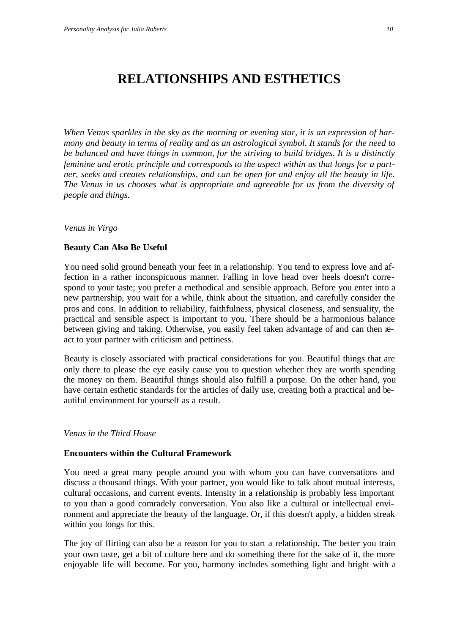# **RELATIONSHIPS AND ESTHETICS**

*When Venus sparkles in the sky as the morning or evening star, it is an expression of harmony and beauty in terms of reality and as an astrological symbol. It stands for the need to be balanced and have things in common, for the striving to build bridges. It is a distinctly feminine and erotic principle and corresponds to the aspect within us that longs for a partner, seeks and creates relationships, and can be open for and enjoy all the beauty in life. The Venus in us chooses what is appropriate and agreeable for us from the diversity of people and things.*

*Venus in Virgo*

#### **Beauty Can Also Be Useful**

You need solid ground beneath your feet in a relationship. You tend to express love and affection in a rather inconspicuous manner. Falling in love head over heels doesn't correspond to your taste; you prefer a methodical and sensible approach. Before you enter into a new partnership, you wait for a while, think about the situation, and carefully consider the pros and cons. In addition to reliability, faithfulness, physical closeness, and sensuality, the practical and sensible aspect is important to you. There should be a harmonious balance between giving and taking. Otherwise, you easily feel taken advantage of and can then react to your partner with criticism and pettiness.

Beauty is closely associated with practical considerations for you. Beautiful things that are only there to please the eye easily cause you to question whether they are worth spending the money on them. Beautiful things should also fulfill a purpose. On the other hand, you have certain esthetic standards for the articles of daily use, creating both a practical and beautiful environment for yourself as a result.

#### *Venus in the Third House*

#### **Encounters within the Cultural Framework**

You need a great many people around you with whom you can have conversations and discuss a thousand things. With your partner, you would like to talk about mutual interests, cultural occasions, and current events. Intensity in a relationship is probably less important to you than a good comradely conversation. You also like a cultural or intellectual environment and appreciate the beauty of the language. Or, if this doesn't apply, a hidden streak within you longs for this.

The joy of flirting can also be a reason for you to start a relationship. The better you train your own taste, get a bit of culture here and do something there for the sake of it, the more enjoyable life will become. For you, harmony includes something light and bright with a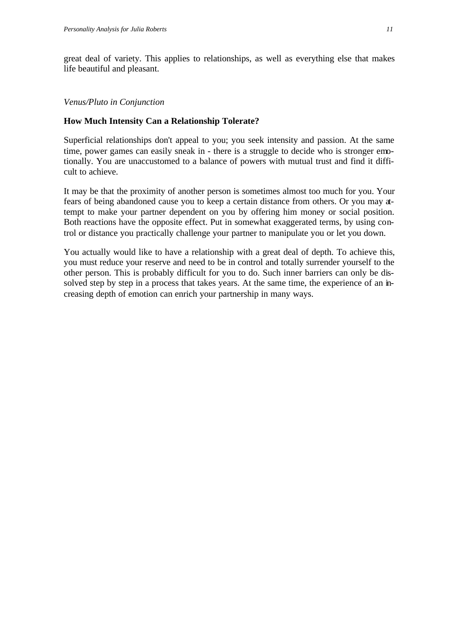great deal of variety. This applies to relationships, as well as everything else that makes life beautiful and pleasant.

#### *Venus/Pluto in Conjunction*

#### **How Much Intensity Can a Relationship Tolerate?**

Superficial relationships don't appeal to you; you seek intensity and passion. At the same time, power games can easily sneak in - there is a struggle to decide who is stronger emotionally. You are unaccustomed to a balance of powers with mutual trust and find it difficult to achieve.

It may be that the proximity of another person is sometimes almost too much for you. Your fears of being abandoned cause you to keep a certain distance from others. Or you may attempt to make your partner dependent on you by offering him money or social position. Both reactions have the opposite effect. Put in somewhat exaggerated terms, by using control or distance you practically challenge your partner to manipulate you or let you down.

You actually would like to have a relationship with a great deal of depth. To achieve this, you must reduce your reserve and need to be in control and totally surrender yourself to the other person. This is probably difficult for you to do. Such inner barriers can only be dissolved step by step in a process that takes years. At the same time, the experience of an increasing depth of emotion can enrich your partnership in many ways.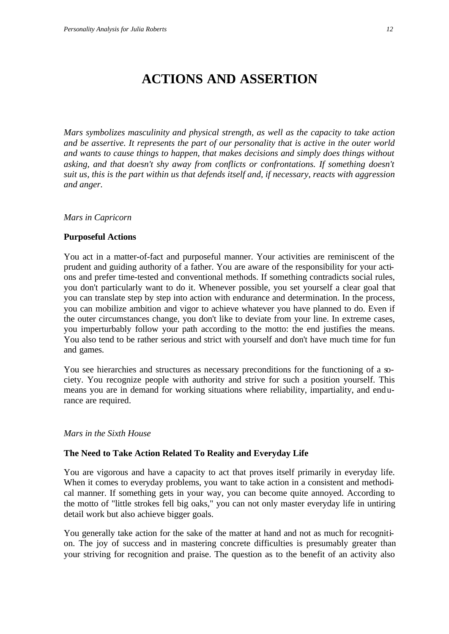# **ACTIONS AND ASSERTION**

*Mars symbolizes masculinity and physical strength, as well as the capacity to take action and be assertive. It represents the part of our personality that is active in the outer world and wants to cause things to happen, that makes decisions and simply does things without asking, and that doesn't shy away from conflicts or confrontations. If something doesn't suit us, this is the part within us that defends itself and, if necessary, reacts with aggression and anger.*

#### *Mars in Capricorn*

#### **Purposeful Actions**

You act in a matter-of-fact and purposeful manner. Your activities are reminiscent of the prudent and guiding authority of a father. You are aware of the responsibility for your actions and prefer time-tested and conventional methods. If something contradicts social rules, you don't particularly want to do it. Whenever possible, you set yourself a clear goal that you can translate step by step into action with endurance and determination. In the process, you can mobilize ambition and vigor to achieve whatever you have planned to do. Even if the outer circumstances change, you don't like to deviate from your line. In extreme cases, you imperturbably follow your path according to the motto: the end justifies the means. You also tend to be rather serious and strict with yourself and don't have much time for fun and games.

You see hierarchies and structures as necessary preconditions for the functioning of a society. You recognize people with authority and strive for such a position yourself. This means you are in demand for working situations where reliability, impartiality, and endurance are required.

#### *Mars in the Sixth House*

#### **The Need to Take Action Related To Reality and Everyday Life**

You are vigorous and have a capacity to act that proves itself primarily in everyday life. When it comes to everyday problems, you want to take action in a consistent and methodical manner. If something gets in your way, you can become quite annoyed. According to the motto of "little strokes fell big oaks," you can not only master everyday life in untiring detail work but also achieve bigger goals.

You generally take action for the sake of the matter at hand and not as much for recognition. The joy of success and in mastering concrete difficulties is presumably greater than your striving for recognition and praise. The question as to the benefit of an activity also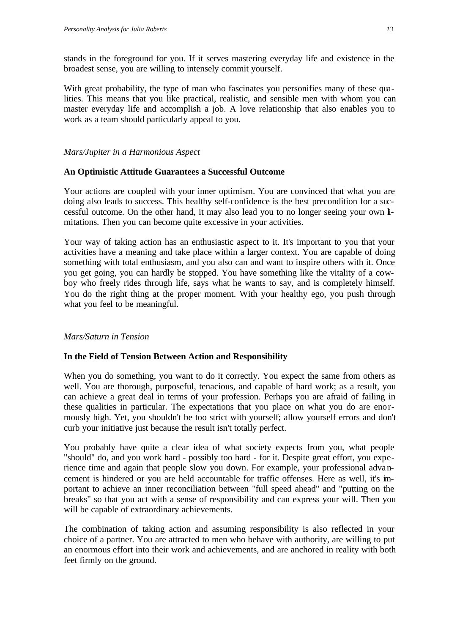stands in the foreground for you. If it serves mastering everyday life and existence in the broadest sense, you are willing to intensely commit yourself.

With great probability, the type of man who fascinates you personifies many of these qualities. This means that you like practical, realistic, and sensible men with whom you can master everyday life and accomplish a job. A love relationship that also enables you to work as a team should particularly appeal to you.

#### *Mars/Jupiter in a Harmonious Aspect*

#### **An Optimistic Attitude Guarantees a Successful Outcome**

Your actions are coupled with your inner optimism. You are convinced that what you are doing also leads to success. This healthy self-confidence is the best precondition for a successful outcome. On the other hand, it may also lead you to no longer seeing your own limitations. Then you can become quite excessive in your activities.

Your way of taking action has an enthusiastic aspect to it. It's important to you that your activities have a meaning and take place within a larger context. You are capable of doing something with total enthusiasm, and you also can and want to inspire others with it. Once you get going, you can hardly be stopped. You have something like the vitality of a cowboy who freely rides through life, says what he wants to say, and is completely himself. You do the right thing at the proper moment. With your healthy ego, you push through what you feel to be meaningful.

#### *Mars/Saturn in Tension*

#### **In the Field of Tension Between Action and Responsibility**

When you do something, you want to do it correctly. You expect the same from others as well. You are thorough, purposeful, tenacious, and capable of hard work; as a result, you can achieve a great deal in terms of your profession. Perhaps you are afraid of failing in these qualities in particular. The expectations that you place on what you do are enormously high. Yet, you shouldn't be too strict with yourself; allow yourself errors and don't curb your initiative just because the result isn't totally perfect.

You probably have quite a clear idea of what society expects from you, what people "should" do, and you work hard - possibly too hard - for it. Despite great effort, you experience time and again that people slow you down. For example, your professional advancement is hindered or you are held accountable for traffic offenses. Here as well, it's important to achieve an inner reconciliation between "full speed ahead" and "putting on the breaks" so that you act with a sense of responsibility and can express your will. Then you will be capable of extraordinary achievements.

The combination of taking action and assuming responsibility is also reflected in your choice of a partner. You are attracted to men who behave with authority, are willing to put an enormous effort into their work and achievements, and are anchored in reality with both feet firmly on the ground.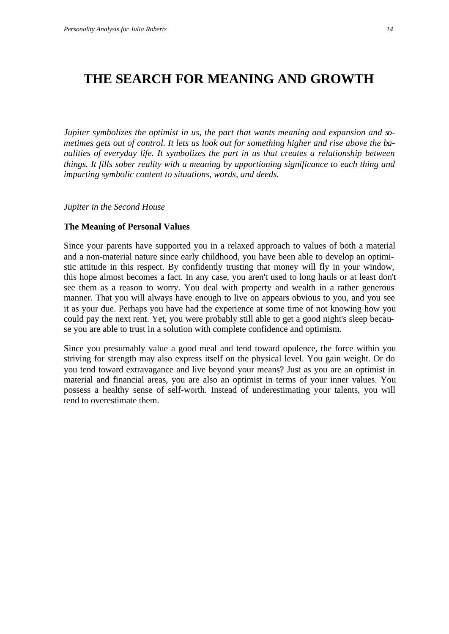### **THE SEARCH FOR MEANING AND GROWTH**

*Jupiter symbolizes the optimist in us, the part that wants meaning and expansion and sometimes gets out of control. It lets us look out for something higher and rise above the banalities of everyday life. It symbolizes the part in us that creates a relationship between things. It fills sober reality with a meaning by apportioning significance to each thing and imparting symbolic content to situations, words, and deeds.*

*Jupiter in the Second House*

#### **The Meaning of Personal Values**

Since your parents have supported you in a relaxed approach to values of both a material and a non-material nature since early childhood, you have been able to develop an optimistic attitude in this respect. By confidently trusting that money will fly in your window, this hope almost becomes a fact. In any case, you aren't used to long hauls or at least don't see them as a reason to worry. You deal with property and wealth in a rather generous manner. That you will always have enough to live on appears obvious to you, and you see it as your due. Perhaps you have had the experience at some time of not knowing how you could pay the next rent. Yet, you were probably still able to get a good night's sleep because you are able to trust in a solution with complete confidence and optimism.

Since you presumably value a good meal and tend toward opulence, the force within you striving for strength may also express itself on the physical level. You gain weight. Or do you tend toward extravagance and live beyond your means? Just as you are an optimist in material and financial areas, you are also an optimist in terms of your inner values. You possess a healthy sense of self-worth. Instead of underestimating your talents, you will tend to overestimate them.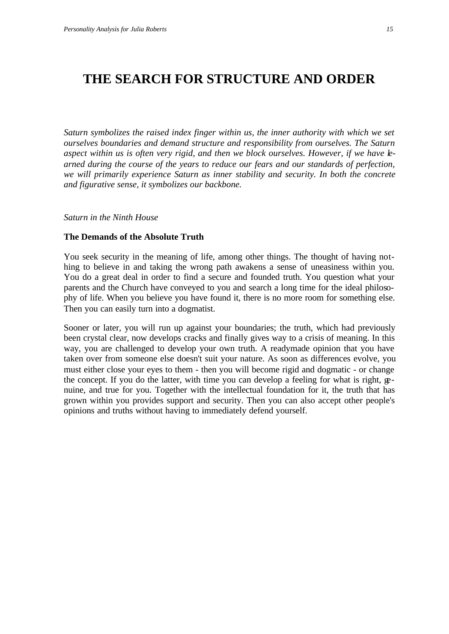### **THE SEARCH FOR STRUCTURE AND ORDER**

*Saturn symbolizes the raised index finger within us, the inner authority with which we set ourselves boundaries and demand structure and responsibility from ourselves. The Saturn aspect within us is often very rigid, and then we block ourselves. However, if we have learned during the course of the years to reduce our fears and our standards of perfection, we will primarily experience Saturn as inner stability and security. In both the concrete and figurative sense, it symbolizes our backbone.*

*Saturn in the Ninth House*

#### **The Demands of the Absolute Truth**

You seek security in the meaning of life, among other things. The thought of having nothing to believe in and taking the wrong path awakens a sense of uneasiness within you. You do a great deal in order to find a secure and founded truth. You question what your parents and the Church have conveyed to you and search a long time for the ideal philosophy of life. When you believe you have found it, there is no more room for something else. Then you can easily turn into a dogmatist.

Sooner or later, you will run up against your boundaries; the truth, which had previously been crystal clear, now develops cracks and finally gives way to a crisis of meaning. In this way, you are challenged to develop your own truth. A readymade opinion that you have taken over from someone else doesn't suit your nature. As soon as differences evolve, you must either close your eyes to them - then you will become rigid and dogmatic - or change the concept. If you do the latter, with time you can develop a feeling for what is right, genuine, and true for you. Together with the intellectual foundation for it, the truth that has grown within you provides support and security. Then you can also accept other people's opinions and truths without having to immediately defend yourself.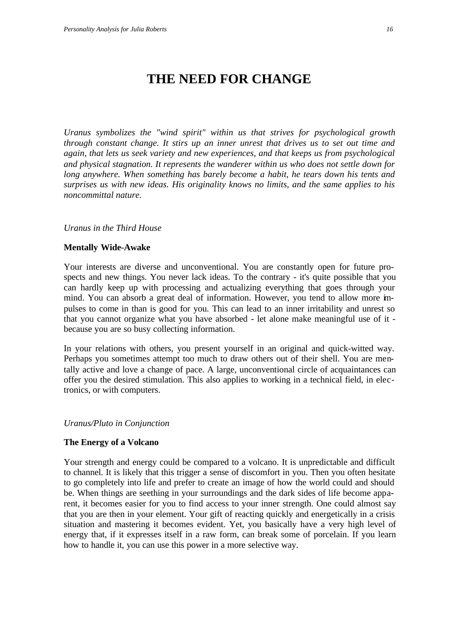# **THE NEED FOR CHANGE**

*Uranus symbolizes the "wind spirit" within us that strives for psychological growth through constant change. It stirs up an inner unrest that drives us to set out time and again, that lets us seek variety and new experiences, and that keeps us from psychological and physical stagnation. It represents the wanderer within us who does not settle down for long anywhere. When something has barely become a habit, he tears down his tents and surprises us with new ideas. His originality knows no limits, and the same applies to his noncommittal nature.*

#### *Uranus in the Third House*

#### **Mentally Wide-Awake**

Your interests are diverse and unconventional. You are constantly open for future prospects and new things. You never lack ideas. To the contrary - it's quite possible that you can hardly keep up with processing and actualizing everything that goes through your mind. You can absorb a great deal of information. However, you tend to allow more impulses to come in than is good for you. This can lead to an inner irritability and unrest so that you cannot organize what you have absorbed - let alone make meaningful use of it because you are so busy collecting information.

In your relations with others, you present yourself in an original and quick-witted way. Perhaps you sometimes attempt too much to draw others out of their shell. You are mentally active and love a change of pace. A large, unconventional circle of acquaintances can offer you the desired stimulation. This also applies to working in a technical field, in electronics, or with computers.

#### *Uranus/Pluto in Conjunction*

#### **The Energy of a Volcano**

Your strength and energy could be compared to a volcano. It is unpredictable and difficult to channel. It is likely that this trigger a sense of discomfort in you. Then you often hesitate to go completely into life and prefer to create an image of how the world could and should be. When things are seething in your surroundings and the dark sides of life become apparent, it becomes easier for you to find access to your inner strength. One could almost say that you are then in your element. Your gift of reacting quickly and energetically in a crisis situation and mastering it becomes evident. Yet, you basically have a very high level of energy that, if it expresses itself in a raw form, can break some of porcelain. If you learn how to handle it, you can use this power in a more selective way.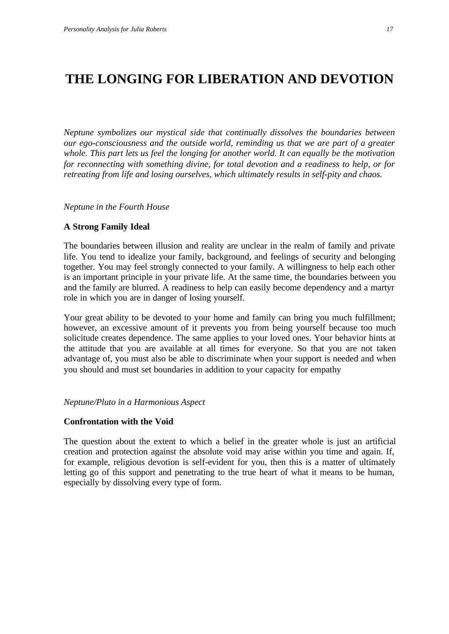# **THE LONGING FOR LIBERATION AND DEVOTION**

*Neptune symbolizes our mystical side that continually dissolves the boundaries between our ego-consciousness and the outside world, reminding us that we are part of a greater whole. This part lets us feel the longing for another world. It can equally be the motivation for reconnecting with something divine, for total devotion and a readiness to help, or for retreating from life and losing ourselves, which ultimately results in self-pity and chaos.*

*Neptune in the Fourth House*

#### **A Strong Family Ideal**

The boundaries between illusion and reality are unclear in the realm of family and private life. You tend to idealize your family, background, and feelings of security and belonging together. You may feel strongly connected to your family. A willingness to help each other is an important principle in your private life. At the same time, the boundaries between you and the family are blurred. A readiness to help can easily become dependency and a martyr role in which you are in danger of losing yourself.

Your great ability to be devoted to your home and family can bring you much fulfillment; however, an excessive amount of it prevents you from being yourself because too much solicitude creates dependence. The same applies to your loved ones. Your behavior hints at the attitude that you are available at all times for everyone. So that you are not taken advantage of, you must also be able to discriminate when your support is needed and when you should and must set boundaries in addition to your capacity for empathy

#### *Neptune/Pluto in a Harmonious Aspect*

#### **Confrontation with the Void**

The question about the extent to which a belief in the greater whole is just an artificial creation and protection against the absolute void may arise within you time and again. If, for example, religious devotion is self-evident for you, then this is a matter of ultimately letting go of this support and penetrating to the true heart of what it means to be human, especially by dissolving every type of form.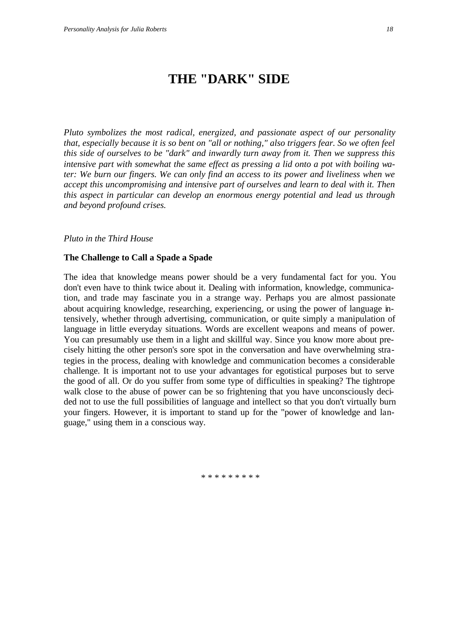### **THE "DARK" SIDE**

*Pluto symbolizes the most radical, energized, and passionate aspect of our personality that, especially because it is so bent on "all or nothing," also triggers fear. So we often feel this side of ourselves to be "dark" and inwardly turn away from it. Then we suppress this intensive part with somewhat the same effect as pressing a lid onto a pot with boiling water: We burn our fingers. We can only find an access to its power and liveliness when we accept this uncompromising and intensive part of ourselves and learn to deal with it. Then this aspect in particular can develop an enormous energy potential and lead us through and beyond profound crises.*

#### *Pluto in the Third House*

#### **The Challenge to Call a Spade a Spade**

The idea that knowledge means power should be a very fundamental fact for you. You don't even have to think twice about it. Dealing with information, knowledge, communication, and trade may fascinate you in a strange way. Perhaps you are almost passionate about acquiring knowledge, researching, experiencing, or using the power of language intensively, whether through advertising, communication, or quite simply a manipulation of language in little everyday situations. Words are excellent weapons and means of power. You can presumably use them in a light and skillful way. Since you know more about precisely hitting the other person's sore spot in the conversation and have overwhelming strategies in the process, dealing with knowledge and communication becomes a considerable challenge. It is important not to use your advantages for egotistical purposes but to serve the good of all. Or do you suffer from some type of difficulties in speaking? The tightrope walk close to the abuse of power can be so frightening that you have unconsciously decided not to use the full possibilities of language and intellect so that you don't virtually burn your fingers. However, it is important to stand up for the "power of knowledge and language," using them in a conscious way.

\* \* \* \* \* \* \* \* \*